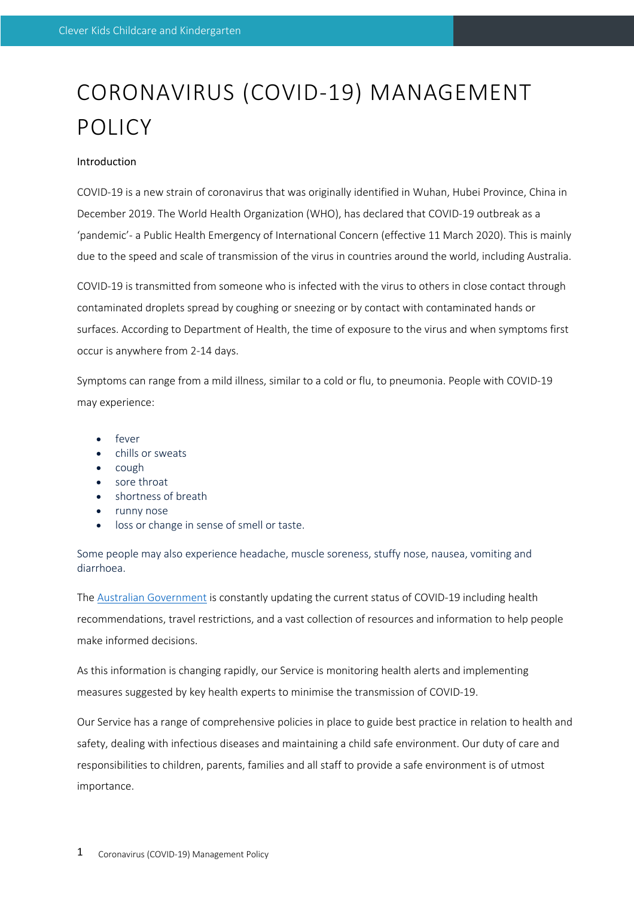# CORONAVIRUS (COVID-19) MANAGEMENT **POLICY**

## Introduction

COVID-19 is a new strain of coronavirus that was originally identified in Wuhan, Hubei Province, China in December 2019. The World Health Organization (WHO), has declared that COVID-19 outbreak as a 'pandemic'- a Public Health Emergency of International Concern (effective 11 March 2020). This is mainly due to the speed and scale of transmission of the virus in countries around the world, including Australia.

COVID-19 is transmitted from someone who is infected with the virus to others in close contact through contaminated droplets spread by coughing or sneezing or by contact with contaminated hands or surfaces. According to Department of Health, the time of exposure to the virus and when symptoms first occur is anywhere from 2-14 days.

Symptoms can range from a mild illness, similar to a cold or flu, to pneumonia. People with COVID-19 may experience:

- fever
- chills or sweats
- cough
- sore throat
- shortness of breath
- runny nose
- loss or change in sense of smell or taste.

Some people may also experience headache, muscle soreness, stuffy nose, nausea, vomiting and diarrhoea.

The Australian Government is constantly updating the current status of COVID-19 including health recommendations, travel restrictions, and a vast collection of resources and information to help people make informed decisions.

As this information is changing rapidly, our Service is monitoring health alerts and implementing measures suggested by key health experts to minimise the transmission of COVID-19.

Our Service has a range of comprehensive policies in place to guide best practice in relation to health and safety, dealing with infectious diseases and maintaining a child safe environment. Our duty of care and responsibilities to children, parents, families and all staff to provide a safe environment is of utmost importance.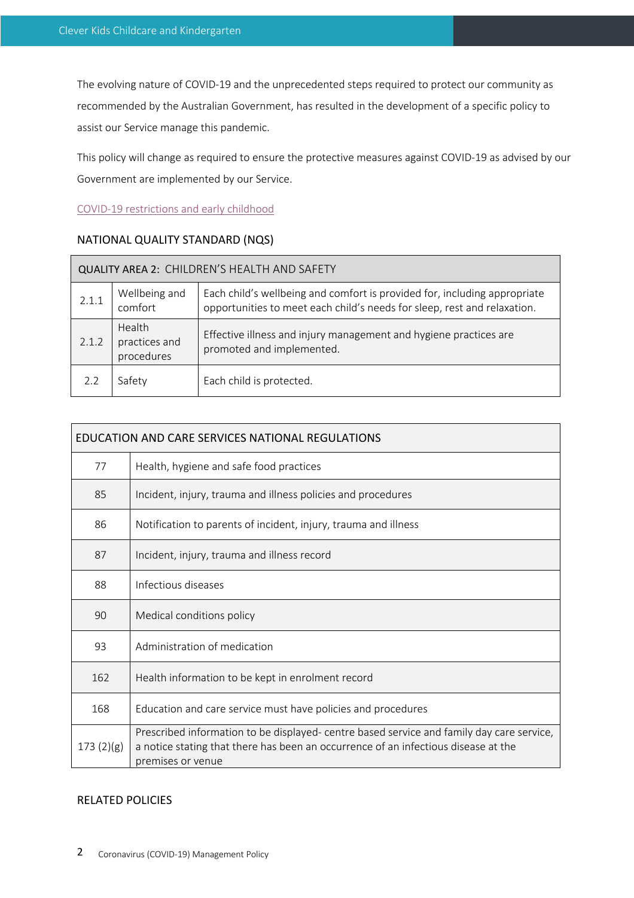The evolving nature of COVID-19 and the unprecedented steps required to protect our community as recommended by the Australian Government, has resulted in the development of a specific policy to assist our Service manage this pandemic.

This policy will change as required to ensure the protective measures against COVID-19 as advised by our Government are implemented by our Service.

COVID-19 restrictions and early childhood

# NATIONAL QUALITY STANDARD (NQS)

| QUALITY AREA 2: CHILDREN'S HEALTH AND SAFETY |                                       |                                                                                                                                                       |  |  |  |
|----------------------------------------------|---------------------------------------|-------------------------------------------------------------------------------------------------------------------------------------------------------|--|--|--|
| 2.1.1                                        | Wellbeing and<br>comfort              | Each child's wellbeing and comfort is provided for, including appropriate<br>opportunities to meet each child's needs for sleep, rest and relaxation. |  |  |  |
| 2.1.2                                        | Health<br>practices and<br>procedures | Effective illness and injury management and hygiene practices are<br>promoted and implemented.                                                        |  |  |  |
| 2.2                                          | Safety                                | Each child is protected.                                                                                                                              |  |  |  |

| EDUCATION AND CARE SERVICES NATIONAL REGULATIONS |                                                                                                                                                                                                      |  |
|--------------------------------------------------|------------------------------------------------------------------------------------------------------------------------------------------------------------------------------------------------------|--|
| 77                                               | Health, hygiene and safe food practices                                                                                                                                                              |  |
| 85                                               | Incident, injury, trauma and illness policies and procedures                                                                                                                                         |  |
| 86                                               | Notification to parents of incident, injury, trauma and illness                                                                                                                                      |  |
| 87                                               | Incident, injury, trauma and illness record                                                                                                                                                          |  |
| 88                                               | Infectious diseases                                                                                                                                                                                  |  |
| 90                                               | Medical conditions policy                                                                                                                                                                            |  |
| 93                                               | Administration of medication                                                                                                                                                                         |  |
| 162                                              | Health information to be kept in enrolment record                                                                                                                                                    |  |
| 168                                              | Education and care service must have policies and procedures                                                                                                                                         |  |
| 173(2)(g)                                        | Prescribed information to be displayed- centre based service and family day care service,<br>a notice stating that there has been an occurrence of an infectious disease at the<br>premises or venue |  |

# RELATED POLICIES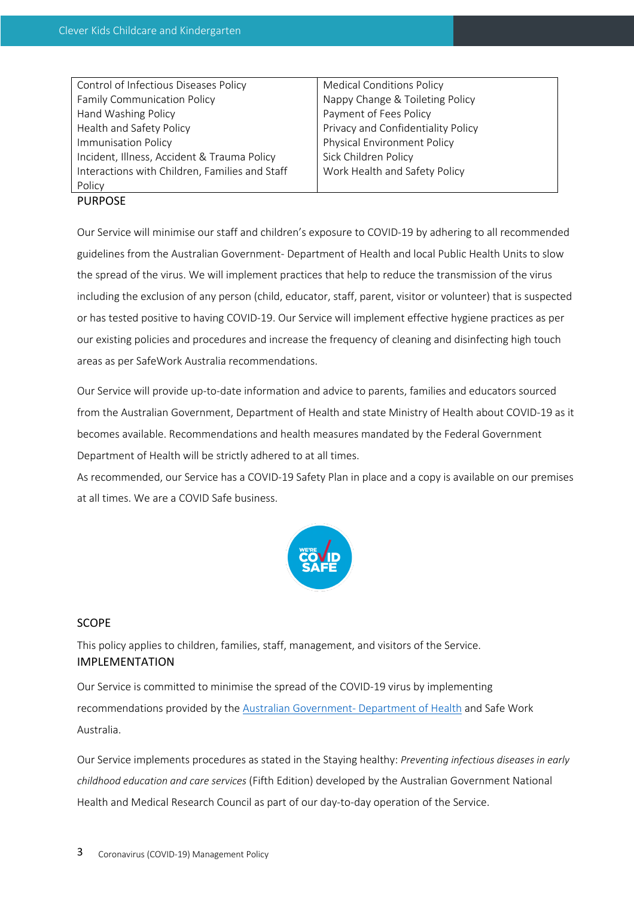| Control of Infectious Diseases Policy          | <b>Medical Conditions Policy</b>   |  |
|------------------------------------------------|------------------------------------|--|
| <b>Family Communication Policy</b>             | Nappy Change & Toileting Policy    |  |
| Hand Washing Policy                            | Payment of Fees Policy             |  |
| Health and Safety Policy                       | Privacy and Confidentiality Policy |  |
| Immunisation Policy                            | Physical Environment Policy        |  |
| Incident, Illness, Accident & Trauma Policy    | Sick Children Policy               |  |
| Interactions with Children, Families and Staff | Work Health and Safety Policy      |  |
| Policy                                         |                                    |  |

## PURPOSE

Our Service will minimise our staff and children's exposure to COVID-19 by adhering to all recommended guidelines from the Australian Government- Department of Health and local Public Health Units to slow the spread of the virus. We will implement practices that help to reduce the transmission of the virus including the exclusion of any person (child, educator, staff, parent, visitor or volunteer) that is suspected or has tested positive to having COVID-19. Our Service will implement effective hygiene practices as per our existing policies and procedures and increase the frequency of cleaning and disinfecting high touch areas as per SafeWork Australia recommendations.

Our Service will provide up-to-date information and advice to parents, families and educators sourced from the Australian Government, Department of Health and state Ministry of Health about COVID-19 as it becomes available. Recommendations and health measures mandated by the Federal Government Department of Health will be strictly adhered to at all times.

As recommended, our Service has a COVID-19 Safety Plan in place and a copy is available on our premises at all times. We are a COVID Safe business.



# SCOPE

This policy applies to children, families, staff, management, and visitors of the Service. IMPLEMENTATION

Our Service is committed to minimise the spread of the COVID-19 virus by implementing recommendations provided by the Australian Government- Department of Health and Safe Work Australia.

Our Service implements procedures as stated in the Staying healthy: *Preventing infectious diseases in early childhood education and care services* (Fifth Edition) developed by the Australian Government National Health and Medical Research Council as part of our day-to-day operation of the Service.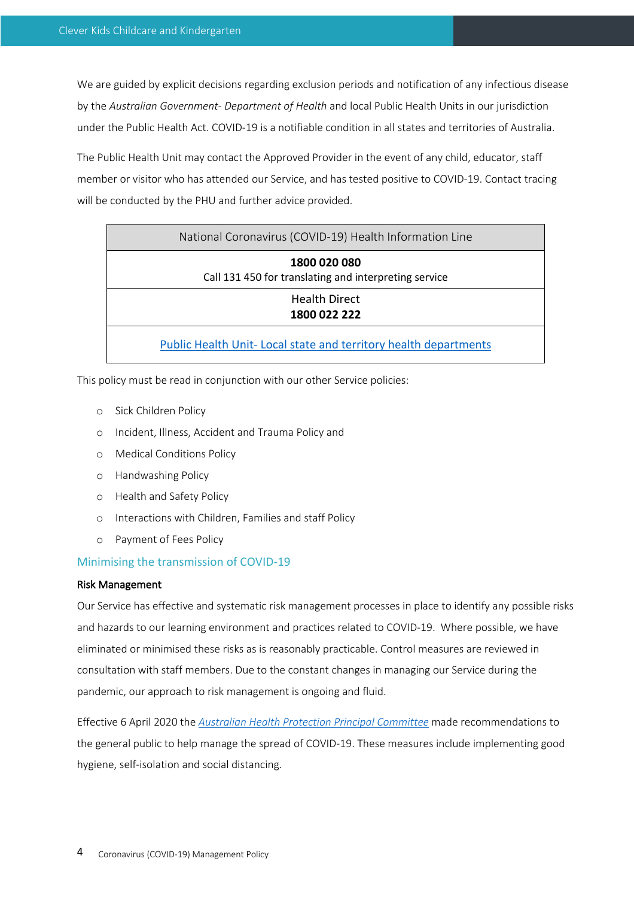We are guided by explicit decisions regarding exclusion periods and notification of any infectious disease by the *Australian Government- Department of Health* and local Public Health Units in our jurisdiction under the Public Health Act. COVID-19 is a notifiable condition in all states and territories of Australia.

The Public Health Unit may contact the Approved Provider in the event of any child, educator, staff member or visitor who has attended our Service, and has tested positive to COVID-19. Contact tracing will be conducted by the PHU and further advice provided.

| National Coronavirus (COVID-19) Health Information Line               |
|-----------------------------------------------------------------------|
| 1800 020 080<br>Call 131 450 for translating and interpreting service |
| <b>Health Direct</b><br>1800 022 222                                  |
| Public Health Unit-Local state and territory health departments       |

This policy must be read in conjunction with our other Service policies:

- o Sick Children Policy
- o Incident, Illness, Accident and Trauma Policy and
- o Medical Conditions Policy
- o Handwashing Policy
- o Health and Safety Policy
- o Interactions with Children, Families and staff Policy
- o Payment of Fees Policy

## Minimising the transmission of COVID-19

#### Risk Management

Our Service has effective and systematic risk management processes in place to identify any possible risks and hazards to our learning environment and practices related to COVID-19. Where possible, we have eliminated or minimised these risks as is reasonably practicable. Control measures are reviewed in consultation with staff members. Due to the constant changes in managing our Service during the pandemic, our approach to risk management is ongoing and fluid.

Effective 6 April 2020 the *Australian Health Protection Principal Committee* made recommendations to the general public to help manage the spread of COVID-19. These measures include implementing good hygiene, self-isolation and social distancing.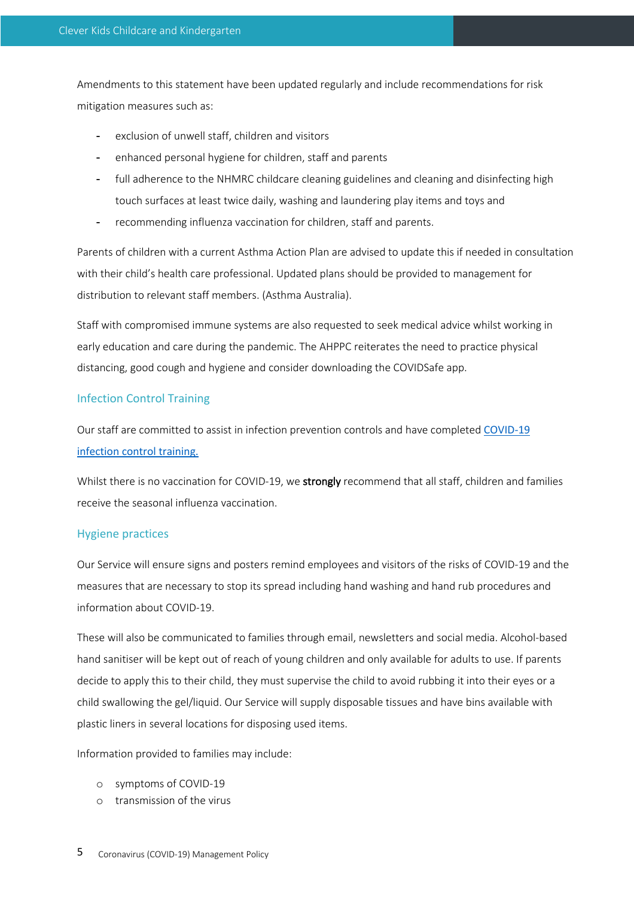Amendments to this statement have been updated regularly and include recommendations for risk mitigation measures such as:

- exclusion of unwell staff, children and visitors
- enhanced personal hygiene for children, staff and parents
- full adherence to the NHMRC childcare cleaning guidelines and cleaning and disinfecting high touch surfaces at least twice daily, washing and laundering play items and toys and
- recommending influenza vaccination for children, staff and parents.

Parents of children with a current Asthma Action Plan are advised to update this if needed in consultation with their child's health care professional. Updated plans should be provided to management for distribution to relevant staff members. (Asthma Australia).

Staff with compromised immune systems are also requested to seek medical advice whilst working in early education and care during the pandemic. The AHPPC reiterates the need to practice physical distancing, good cough and hygiene and consider downloading the COVIDSafe app.

#### Infection Control Training

Our staff are committed to assist in infection prevention controls and have completed COVID-19 infection control training.

Whilst there is no vaccination for COVID-19, we **strongly** recommend that all staff, children and families receive the seasonal influenza vaccination.

# Hygiene practices

Our Service will ensure signs and posters remind employees and visitors of the risks of COVID-19 and the measures that are necessary to stop its spread including hand washing and hand rub procedures and information about COVID-19.

These will also be communicated to families through email, newsletters and social media. Alcohol-based hand sanitiser will be kept out of reach of young children and only available for adults to use. If parents decide to apply this to their child, they must supervise the child to avoid rubbing it into their eyes or a child swallowing the gel/liquid. Our Service will supply disposable tissues and have bins available with plastic liners in several locations for disposing used items.

Information provided to families may include:

- o symptoms of COVID-19
- o transmission of the virus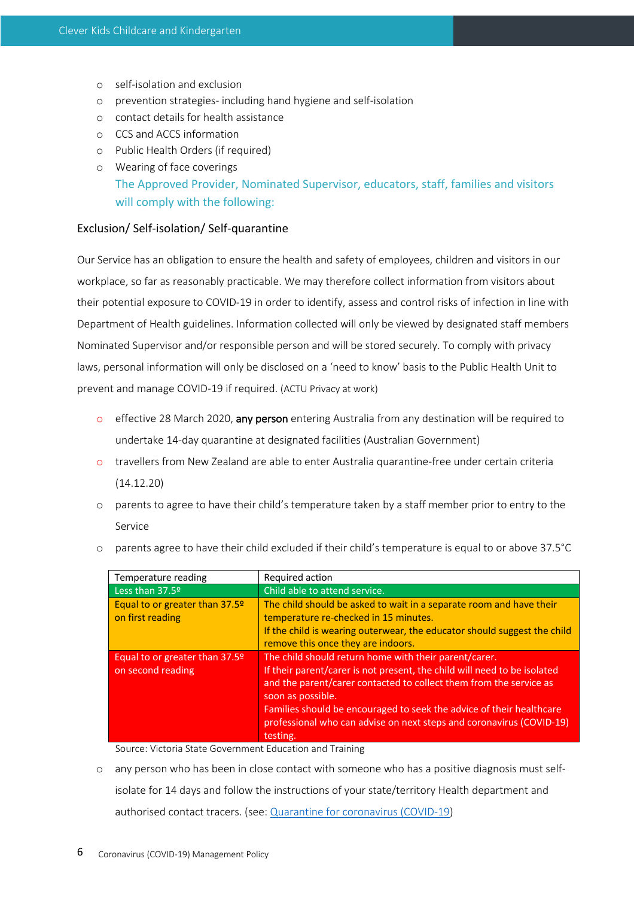- o self-isolation and exclusion
- o prevention strategies- including hand hygiene and self-isolation
- o contact details for health assistance
- o CCS and ACCS information
- o Public Health Orders (if required)
- o Wearing of face coverings The Approved Provider, Nominated Supervisor, educators, staff, families and visitors will comply with the following:

# Exclusion/ Self-isolation/ Self-quarantine

Our Service has an obligation to ensure the health and safety of employees, children and visitors in our workplace, so far as reasonably practicable. We may therefore collect information from visitors about their potential exposure to COVID-19 in order to identify, assess and control risks of infection in line with Department of Health guidelines. Information collected will only be viewed by designated staff members Nominated Supervisor and/or responsible person and will be stored securely. To comply with privacy laws, personal information will only be disclosed on a 'need to know' basis to the Public Health Unit to prevent and manage COVID-19 if required. (ACTU Privacy at work)

- o effective 28 March 2020, any person entering Australia from any destination will be required to undertake 14-day quarantine at designated facilities (Australian Government)
- o travellers from New Zealand are able to enter Australia quarantine-free under certain criteria (14.12.20)
- o parents to agree to have their child's temperature taken by a staff member prior to entry to the Service

| Temperature reading                                 | Required action                                                                                                                                                                                                                                                                                                                                                                          |  |
|-----------------------------------------------------|------------------------------------------------------------------------------------------------------------------------------------------------------------------------------------------------------------------------------------------------------------------------------------------------------------------------------------------------------------------------------------------|--|
| Less than 37.5º                                     | Child able to attend service.                                                                                                                                                                                                                                                                                                                                                            |  |
| Equal to or greater than 37.5º<br>on first reading  | The child should be asked to wait in a separate room and have their<br>temperature re-checked in 15 minutes.<br>If the child is wearing outerwear, the educator should suggest the child<br>remove this once they are indoors.                                                                                                                                                           |  |
| Equal to or greater than 37.5º<br>on second reading | The child should return home with their parent/carer.<br>If their parent/carer is not present, the child will need to be isolated<br>and the parent/carer contacted to collect them from the service as<br>soon as possible.<br>Families should be encouraged to seek the advice of their healthcare<br>professional who can advise on next steps and coronavirus (COVID-19)<br>testing. |  |

o parents agree to have their child excluded if their child's temperature is equal to or above 37.5°C

Source: Victoria State Government Education and Training

o any person who has been in close contact with someone who has a positive diagnosis must selfisolate for 14 days and follow the instructions of your state/territory Health department and authorised contact tracers. (see: Quarantine for coronavirus (COVID-19)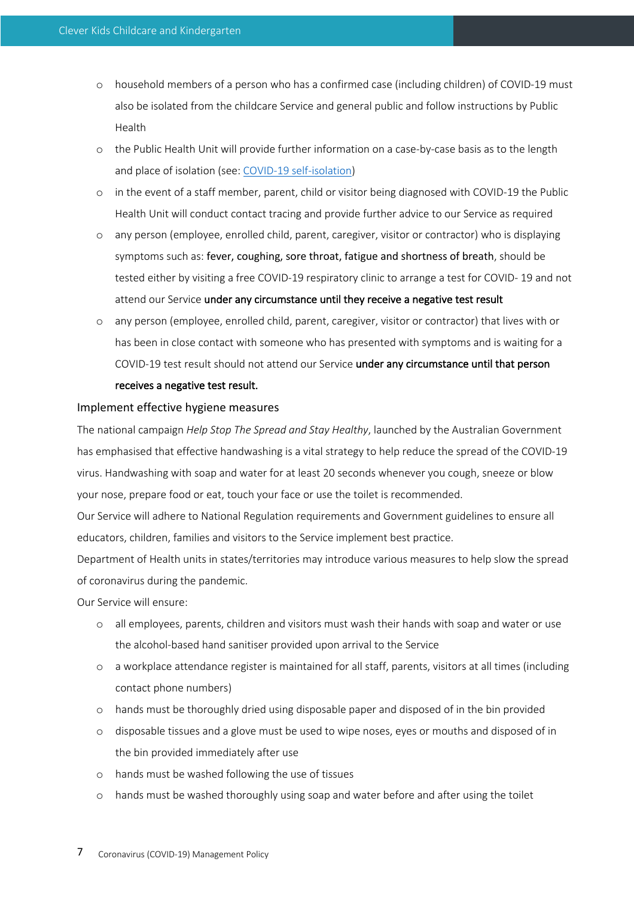- o household members of a person who has a confirmed case (including children) of COVID-19 must also be isolated from the childcare Service and general public and follow instructions by Public Health
- o the Public Health Unit will provide further information on a case-by-case basis as to the length and place of isolation (see: COVID-19 self-isolation)
- o in the event of a staff member, parent, child or visitor being diagnosed with COVID-19 the Public Health Unit will conduct contact tracing and provide further advice to our Service as required
- o any person (employee, enrolled child, parent, caregiver, visitor or contractor) who is displaying symptoms such as: fever, coughing, sore throat, fatigue and shortness of breath, should be tested either by visiting a free COVID-19 respiratory clinic to arrange a test for COVID- 19 and not attend our Service under any circumstance until they receive a negative test result
- o any person (employee, enrolled child, parent, caregiver, visitor or contractor) that lives with or has been in close contact with someone who has presented with symptoms and is waiting for a COVID-19 test result should not attend our Service under any circumstance until that person receives a negative test result.

#### Implement effective hygiene measures

The national campaign *Help Stop The Spread and Stay Healthy*, launched by the Australian Government has emphasised that effective handwashing is a vital strategy to help reduce the spread of the COVID-19 virus. Handwashing with soap and water for at least 20 seconds whenever you cough, sneeze or blow your nose, prepare food or eat, touch your face or use the toilet is recommended.

Our Service will adhere to National Regulation requirements and Government guidelines to ensure all educators, children, families and visitors to the Service implement best practice.

Department of Health units in states/territories may introduce various measures to help slow the spread of coronavirus during the pandemic.

Our Service will ensure:

- o all employees, parents, children and visitors must wash their hands with soap and water or use the alcohol-based hand sanitiser provided upon arrival to the Service
- o a workplace attendance register is maintained for all staff, parents, visitors at all times (including contact phone numbers)
- o hands must be thoroughly dried using disposable paper and disposed of in the bin provided
- o disposable tissues and a glove must be used to wipe noses, eyes or mouths and disposed of in the bin provided immediately after use
- o hands must be washed following the use of tissues
- o hands must be washed thoroughly using soap and water before and after using the toilet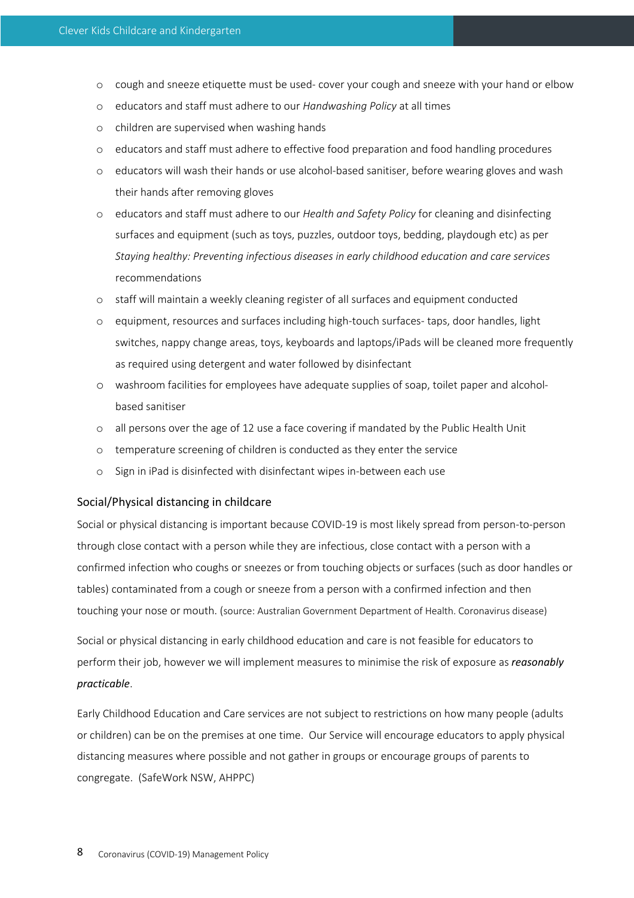- o cough and sneeze etiquette must be used- cover your cough and sneeze with your hand or elbow
- o educators and staff must adhere to our *Handwashing Policy* at all times
- o children are supervised when washing hands
- o educators and staff must adhere to effective food preparation and food handling procedures
- o educators will wash their hands or use alcohol-based sanitiser, before wearing gloves and wash their hands after removing gloves
- o educators and staff must adhere to our *Health and Safety Policy* for cleaning and disinfecting surfaces and equipment (such as toys, puzzles, outdoor toys, bedding, playdough etc) as per *Staying healthy: Preventing infectious diseases in early childhood education and care services* recommendations
- o staff will maintain a weekly cleaning register of all surfaces and equipment conducted
- o equipment, resources and surfaces including high-touch surfaces- taps, door handles, light switches, nappy change areas, toys, keyboards and laptops/iPads will be cleaned more frequently as required using detergent and water followed by disinfectant
- o washroom facilities for employees have adequate supplies of soap, toilet paper and alcoholbased sanitiser
- o all persons over the age of 12 use a face covering if mandated by the Public Health Unit
- o temperature screening of children is conducted as they enter the service
- o Sign in iPad is disinfected with disinfectant wipes in-between each use

#### Social/Physical distancing in childcare

Social or physical distancing is important because COVID-19 is most likely spread from person-to-person through close contact with a person while they are infectious, close contact with a person with a confirmed infection who coughs or sneezes or from touching objects or surfaces (such as door handles or tables) contaminated from a cough or sneeze from a person with a confirmed infection and then touching your nose or mouth. (source: Australian Government Department of Health. Coronavirus disease)

Social or physical distancing in early childhood education and care is not feasible for educators to perform their job, however we will implement measures to minimise the risk of exposure as *reasonably practicable*.

Early Childhood Education and Care services are not subject to restrictions on how many people (adults or children) can be on the premises at one time. Our Service will encourage educators to apply physical distancing measures where possible and not gather in groups or encourage groups of parents to congregate. (SafeWork NSW, AHPPC)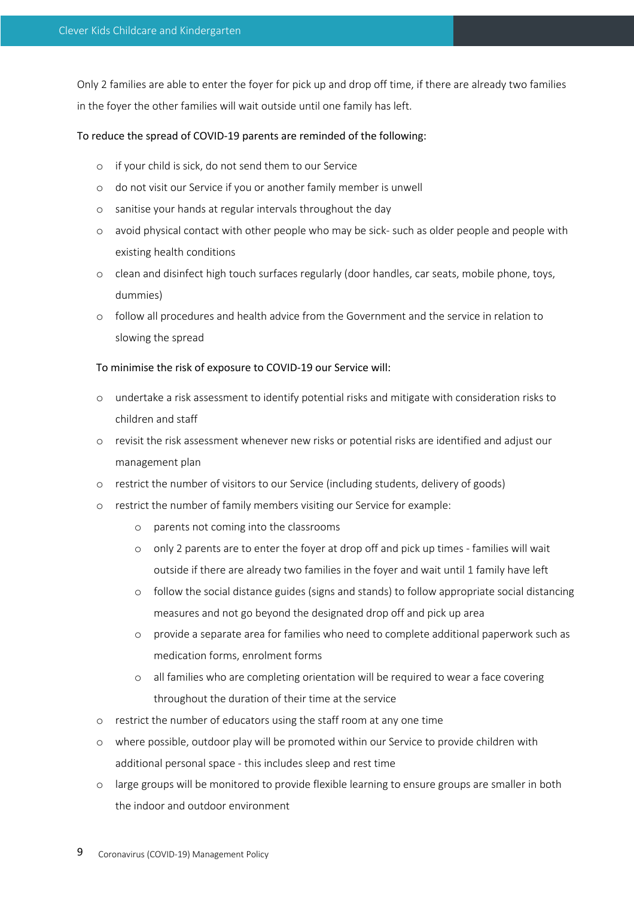Only 2 families are able to enter the foyer for pick up and drop off time, if there are already two families in the foyer the other families will wait outside until one family has left.

#### To reduce the spread of COVID-19 parents are reminded of the following:

- o if your child is sick, do not send them to our Service
- o do not visit our Service if you or another family member is unwell
- o sanitise your hands at regular intervals throughout the day
- o avoid physical contact with other people who may be sick- such as older people and people with existing health conditions
- o clean and disinfect high touch surfaces regularly (door handles, car seats, mobile phone, toys, dummies)
- o follow all procedures and health advice from the Government and the service in relation to slowing the spread

#### To minimise the risk of exposure to COVID-19 our Service will:

- o undertake a risk assessment to identify potential risks and mitigate with consideration risks to children and staff
- o revisit the risk assessment whenever new risks or potential risks are identified and adjust our management plan
- o restrict the number of visitors to our Service (including students, delivery of goods)
- o restrict the number of family members visiting our Service for example:
	- o parents not coming into the classrooms
	- o only 2 parents are to enter the foyer at drop off and pick up times families will wait outside if there are already two families in the foyer and wait until 1 family have left
	- o follow the social distance guides (signs and stands) to follow appropriate social distancing measures and not go beyond the designated drop off and pick up area
	- o provide a separate area for families who need to complete additional paperwork such as medication forms, enrolment forms
	- o all families who are completing orientation will be required to wear a face covering throughout the duration of their time at the service
- o restrict the number of educators using the staff room at any one time
- o where possible, outdoor play will be promoted within our Service to provide children with additional personal space - this includes sleep and rest time
- o large groups will be monitored to provide flexible learning to ensure groups are smaller in both the indoor and outdoor environment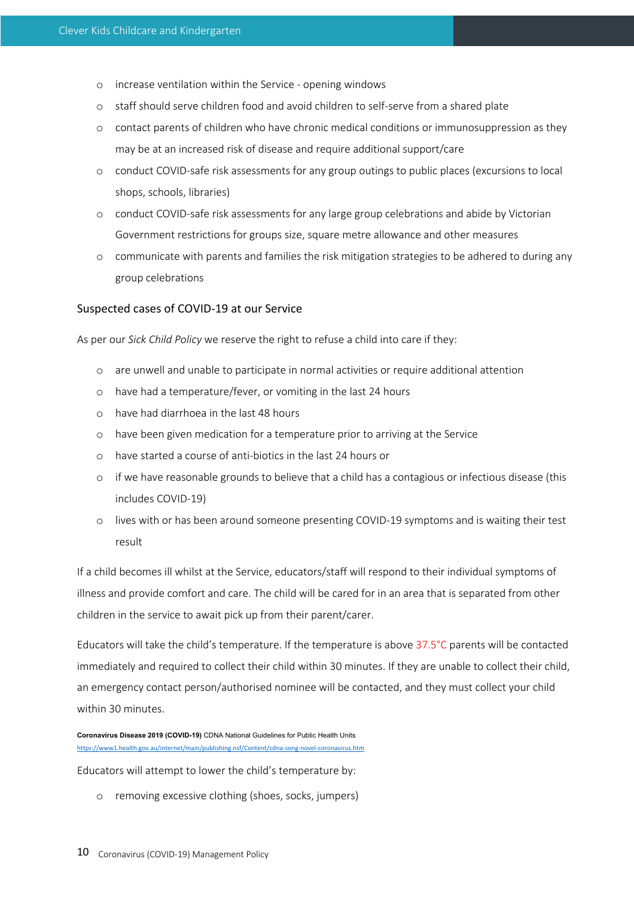- o increase ventilation within the Service opening windows
- o staff should serve children food and avoid children to self-serve from a shared plate
- o contact parents of children who have chronic medical conditions or immunosuppression as they may be at an increased risk of disease and require additional support/care
- o conduct COVID-safe risk assessments for any group outings to public places (excursions to local shops, schools, libraries)
- o conduct COVID-safe risk assessments for any large group celebrations and abide by Victorian Government restrictions for groups size, square metre allowance and other measures
- o communicate with parents and families the risk mitigation strategies to be adhered to during any group celebrations

#### Suspected cases of COVID-19 at our Service

As per our *Sick Child Policy* we reserve the right to refuse a child into care if they:

- o are unwell and unable to participate in normal activities or require additional attention
- o have had a temperature/fever, or vomiting in the last 24 hours
- o have had diarrhoea in the last 48 hours
- o have been given medication for a temperature prior to arriving at the Service
- o have started a course of anti-biotics in the last 24 hours or
- o if we have reasonable grounds to believe that a child has a contagious or infectious disease (this includes COVID-19)
- o lives with or has been around someone presenting COVID-19 symptoms and is waiting their test result

If a child becomes ill whilst at the Service, educators/staff will respond to their individual symptoms of illness and provide comfort and care. The child will be cared for in an area that is separated from other children in the service to await pick up from their parent/carer.

Educators will take the child's temperature. If the temperature is above 37.5°C parents will be contacted immediately and required to collect their child within 30 minutes. If they are unable to collect their child, an emergency contact person/authorised nominee will be contacted, and they must collect your child within 30 minutes.

**Coronavirus Disease 2019 (COVID-19)** CDNA National Guidelines for Public Health Units https://www1.health.gov.au/internet/main/publishing.nsf/Content/cdna-song-novel-coronavirus.htm

Educators will attempt to lower the child's temperature by:

o removing excessive clothing (shoes, socks, jumpers)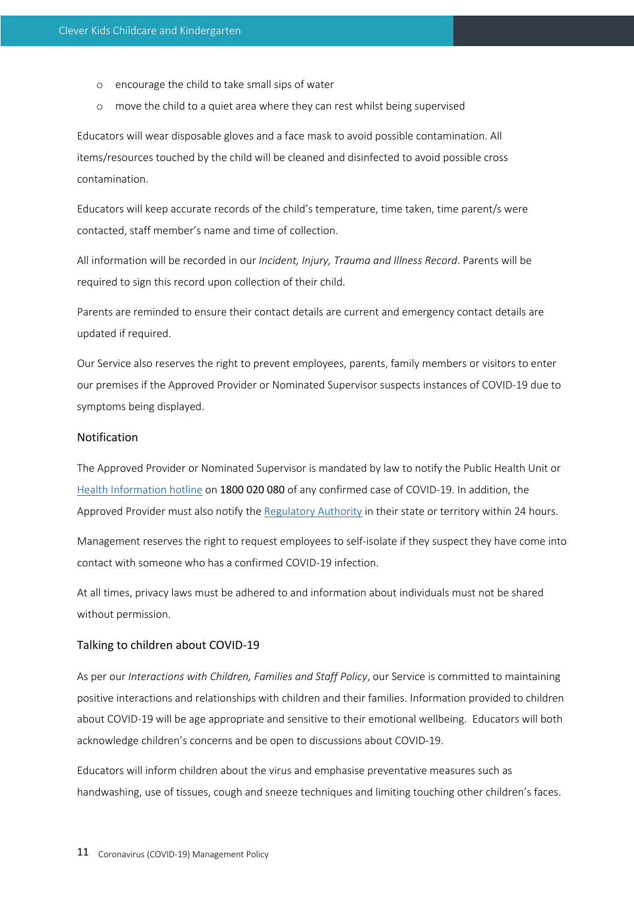- o encourage the child to take small sips of water
- o move the child to a quiet area where they can rest whilst being supervised

Educators will wear disposable gloves and a face mask to avoid possible contamination. All items/resources touched by the child will be cleaned and disinfected to avoid possible cross contamination.

Educators will keep accurate records of the child's temperature, time taken, time parent/s were contacted, staff member's name and time of collection.

All information will be recorded in our *Incident, Injury, Trauma and Illness Record*. Parents will be required to sign this record upon collection of their child.

Parents are reminded to ensure their contact details are current and emergency contact details are updated if required.

Our Service also reserves the right to prevent employees, parents, family members or visitors to enter our premises if the Approved Provider or Nominated Supervisor suspects instances of COVID-19 due to symptoms being displayed.

# Notification

The Approved Provider or Nominated Supervisor is mandated by law to notify the Public Health Unit or Health Information hotline on 1800 020 080 of any confirmed case of COVID-19. In addition, the Approved Provider must also notify the Regulatory Authority in their state or territory within 24 hours.

Management reserves the right to request employees to self-isolate if they suspect they have come into contact with someone who has a confirmed COVID-19 infection.

At all times, privacy laws must be adhered to and information about individuals must not be shared without permission.

#### Talking to children about COVID-19

As per our *Interactions with Children, Families and Staff Policy*, our Service is committed to maintaining positive interactions and relationships with children and their families. Information provided to children about COVID-19 will be age appropriate and sensitive to their emotional wellbeing. Educators will both acknowledge children's concerns and be open to discussions about COVID-19.

Educators will inform children about the virus and emphasise preventative measures such as handwashing, use of tissues, cough and sneeze techniques and limiting touching other children's faces.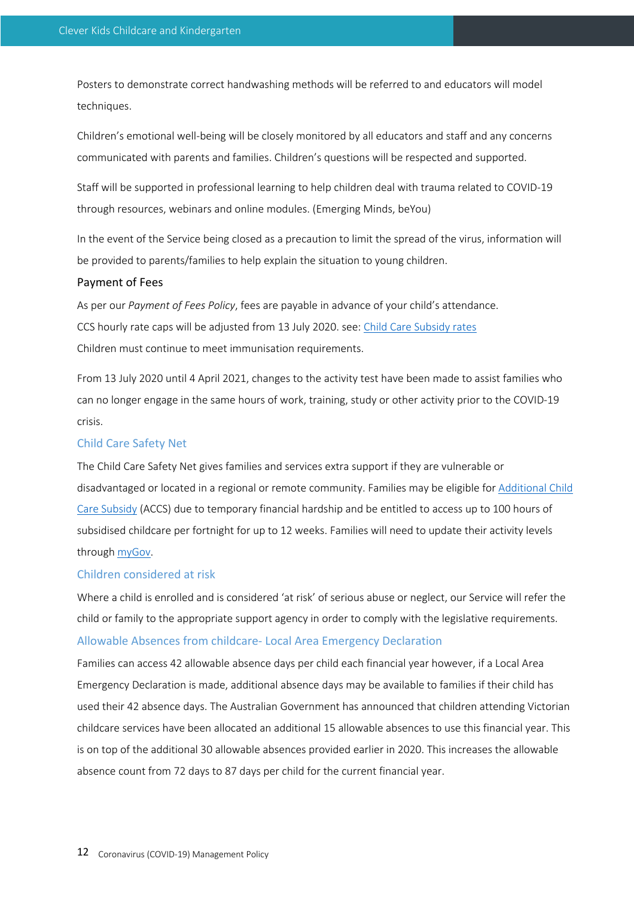Posters to demonstrate correct handwashing methods will be referred to and educators will model techniques.

Children's emotional well-being will be closely monitored by all educators and staff and any concerns communicated with parents and families. Children's questions will be respected and supported.

Staff will be supported in professional learning to help children deal with trauma related to COVID-19 through resources, webinars and online modules. (Emerging Minds, beYou)

In the event of the Service being closed as a precaution to limit the spread of the virus, information will be provided to parents/families to help explain the situation to young children.

#### Payment of Fees

As per our *Payment of Fees Policy*, fees are payable in advance of your child's attendance. CCS hourly rate caps will be adjusted from 13 July 2020. see: Child Care Subsidy rates Children must continue to meet immunisation requirements.

From 13 July 2020 until 4 April 2021, changes to the activity test have been made to assist families who can no longer engage in the same hours of work, training, study or other activity prior to the COVID-19 crisis.

## Child Care Safety Net

The Child Care Safety Net gives families and services extra support if they are vulnerable or disadvantaged or located in a regional or remote community. Families may be eligible for Additional Child Care Subsidy (ACCS) due to temporary financial hardship and be entitled to access up to 100 hours of subsidised childcare per fortnight for up to 12 weeks. Families will need to update their activity levels through myGov.

# Children considered at risk

Where a child is enrolled and is considered 'at risk' of serious abuse or neglect, our Service will refer the child or family to the appropriate support agency in order to comply with the legislative requirements. Allowable Absences from childcare- Local Area Emergency Declaration

Families can access 42 allowable absence days per child each financial year however, if a Local Area Emergency Declaration is made, additional absence days may be available to families if their child has used their 42 absence days. The Australian Government has announced that children attending Victorian childcare services have been allocated an additional 15 allowable absences to use this financial year. This is on top of the additional 30 allowable absences provided earlier in 2020. This increases the allowable absence count from 72 days to 87 days per child for the current financial year.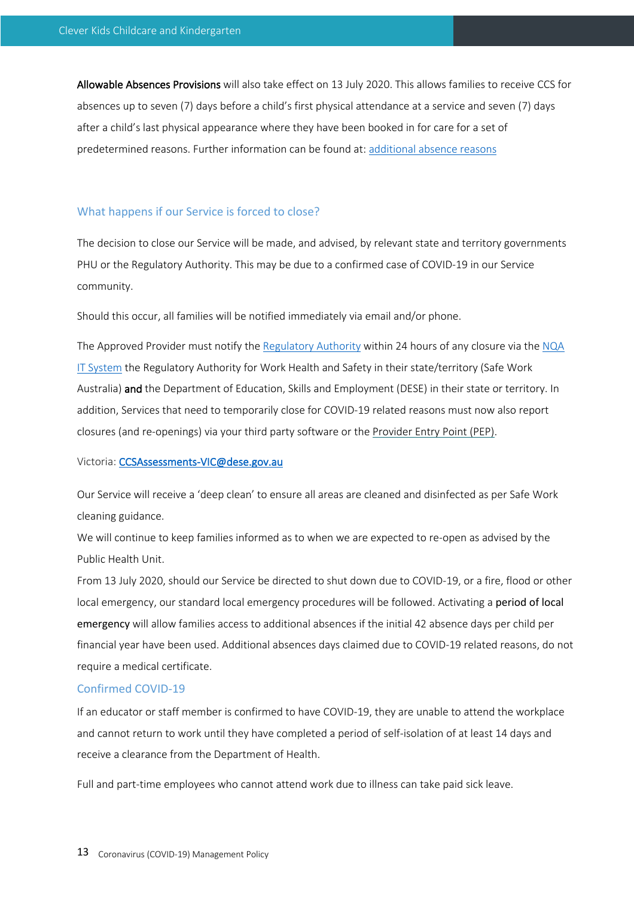Allowable Absences Provisions will also take effect on 13 July 2020. This allows families to receive CCS for absences up to seven (7) days before a child's first physical attendance at a service and seven (7) days after a child's last physical appearance where they have been booked in for care for a set of predetermined reasons. Further information can be found at: additional absence reasons

#### What happens if our Service is forced to close?

The decision to close our Service will be made, and advised, by relevant state and territory governments PHU or the Regulatory Authority. This may be due to a confirmed case of COVID-19 in our Service community.

Should this occur, all families will be notified immediately via email and/or phone.

The Approved Provider must notify the Regulatory Authority within 24 hours of any closure via the NQA IT System the Regulatory Authority for Work Health and Safety in their state/territory (Safe Work Australia) and the Department of Education, Skills and Employment (DESE) in their state or territory. In addition, Services that need to temporarily close for COVID-19 related reasons must now also report closures (and re-openings) via your third party software or the Provider Entry Point (PEP).

#### Victoria: CCSAssessments-VIC@dese.gov.au

Our Service will receive a 'deep clean' to ensure all areas are cleaned and disinfected as per Safe Work cleaning guidance.

We will continue to keep families informed as to when we are expected to re-open as advised by the Public Health Unit.

From 13 July 2020, should our Service be directed to shut down due to COVID-19, or a fire, flood or other local emergency, our standard local emergency procedures will be followed. Activating a period of local emergency will allow families access to additional absences if the initial 42 absence days per child per financial year have been used. Additional absences days claimed due to COVID-19 related reasons, do not require a medical certificate.

## Confirmed COVID-19

If an educator or staff member is confirmed to have COVID-19, they are unable to attend the workplace and cannot return to work until they have completed a period of self-isolation of at least 14 days and receive a clearance from the Department of Health.

Full and part-time employees who cannot attend work due to illness can take paid sick leave.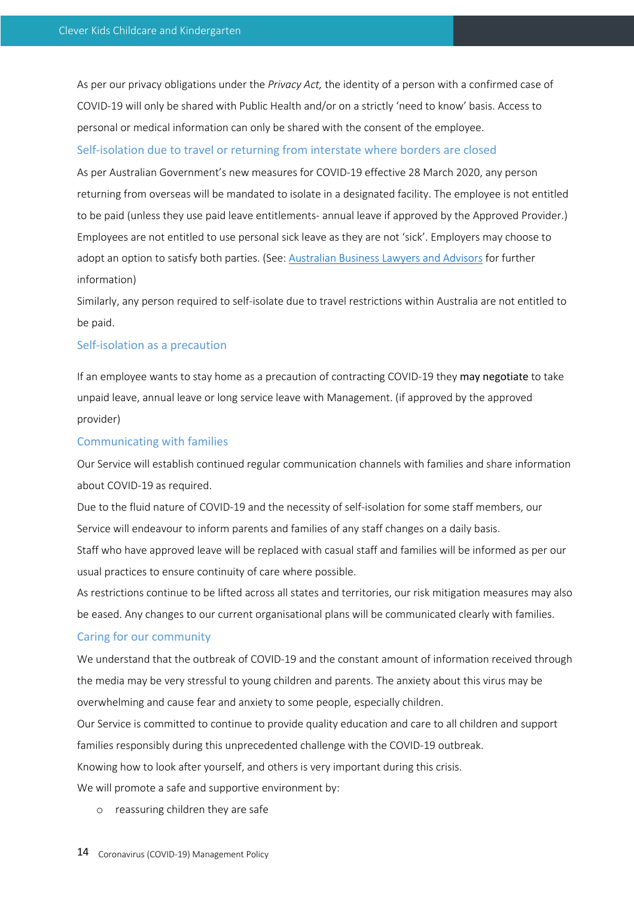As per our privacy obligations under the *Privacy Act,* the identity of a person with a confirmed case of COVID-19 will only be shared with Public Health and/or on a strictly 'need to know' basis. Access to personal or medical information can only be shared with the consent of the employee.

## Self-isolation due to travel or returning from interstate where borders are closed

As per Australian Government's new measures for COVID-19 effective 28 March 2020, any person returning from overseas will be mandated to isolate in a designated facility. The employee is not entitled to be paid (unless they use paid leave entitlements- annual leave if approved by the Approved Provider.) Employees are not entitled to use personal sick leave as they are not 'sick'. Employers may choose to adopt an option to satisfy both parties. (See: Australian Business Lawyers and Advisors for further information)

Similarly, any person required to self-isolate due to travel restrictions within Australia are not entitled to be paid.

# Self-isolation as a precaution

If an employee wants to stay home as a precaution of contracting COVID-19 they may negotiate to take unpaid leave, annual leave or long service leave with Management. (if approved by the approved provider)

## Communicating with families

Our Service will establish continued regular communication channels with families and share information about COVID-19 as required.

Due to the fluid nature of COVID-19 and the necessity of self-isolation for some staff members, our Service will endeavour to inform parents and families of any staff changes on a daily basis.

Staff who have approved leave will be replaced with casual staff and families will be informed as per our usual practices to ensure continuity of care where possible.

As restrictions continue to be lifted across all states and territories, our risk mitigation measures may also be eased. Any changes to our current organisational plans will be communicated clearly with families.

#### Caring for our community

We understand that the outbreak of COVID-19 and the constant amount of information received through the media may be very stressful to young children and parents. The anxiety about this virus may be overwhelming and cause fear and anxiety to some people, especially children.

Our Service is committed to continue to provide quality education and care to all children and support families responsibly during this unprecedented challenge with the COVID-19 outbreak. Knowing how to look after yourself, and others is very important during this crisis.

We will promote a safe and supportive environment by:

o reassuring children they are safe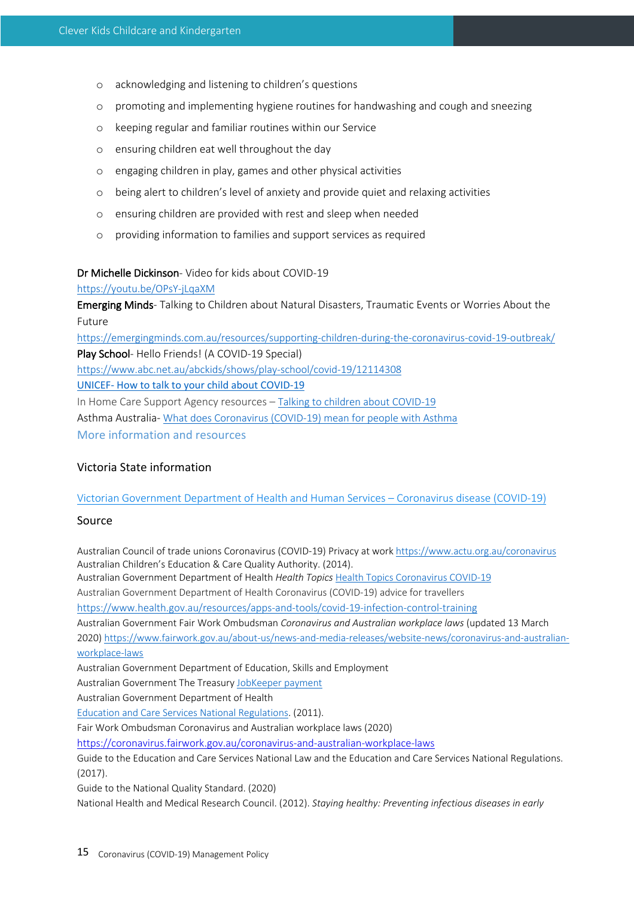- o acknowledging and listening to children's questions
- o promoting and implementing hygiene routines for handwashing and cough and sneezing
- o keeping regular and familiar routines within our Service
- o ensuring children eat well throughout the day
- o engaging children in play, games and other physical activities
- o being alert to children's level of anxiety and provide quiet and relaxing activities
- o ensuring children are provided with rest and sleep when needed
- o providing information to families and support services as required

## Dr Michelle Dickinson- Video for kids about COVID-19

## https://youtu.be/OPsY-jLqaXM

Emerging Minds- Talking to Children about Natural Disasters, Traumatic Events or Worries About the Future

https://emergingminds.com.au/resources/supporting-children-during-the-coronavirus-covid-19-outbreak/ Play School- Hello Friends! (A COVID-19 Special) https://www.abc.net.au/abckids/shows/play-school/covid-19/12114308 UNICEF- How to talk to your child about COVID-19 In Home Care Support Agency resources – Talking to children about COVID-19 Asthma Australia- What does Coronavirus (COVID-19) mean for people with Asthma

More information and resources

# Victoria State information

# Victorian Government Department of Health and Human Services – Coronavirus disease (COVID-19)

# Source

Australian Council of trade unions Coronavirus (COVID-19) Privacy at work https://www.actu.org.au/coronavirus Australian Children's Education & Care Quality Authority. (2014).

Australian Government Department of Health *Health Topics* Health Topics Coronavirus COVID-19

Australian Government Department of Health Coronavirus (COVID-19) advice for travellers

https://www.health.gov.au/resources/apps-and-tools/covid-19-infection-control-training

Australian Government Fair Work Ombudsman *Coronavirus and Australian workplace laws* (updated 13 March

2020) https://www.fairwork.gov.au/about-us/news-and-media-releases/website-news/coronavirus-and-australianworkplace-laws

Australian Government Department of Education, Skills and Employment

Australian Government The Treasury JobKeeper payment

Australian Government Department of Health

Education and Care Services National Regulations. (2011).

Fair Work Ombudsman Coronavirus and Australian workplace laws (2020)

https://coronavirus.fairwork.gov.au/coronavirus-and-australian-workplace-laws

Guide to the Education and Care Services National Law and the Education and Care Services National Regulations. (2017).

Guide to the National Quality Standard. (2020)

National Health and Medical Research Council. (2012). *Staying healthy: Preventing infectious diseases in early*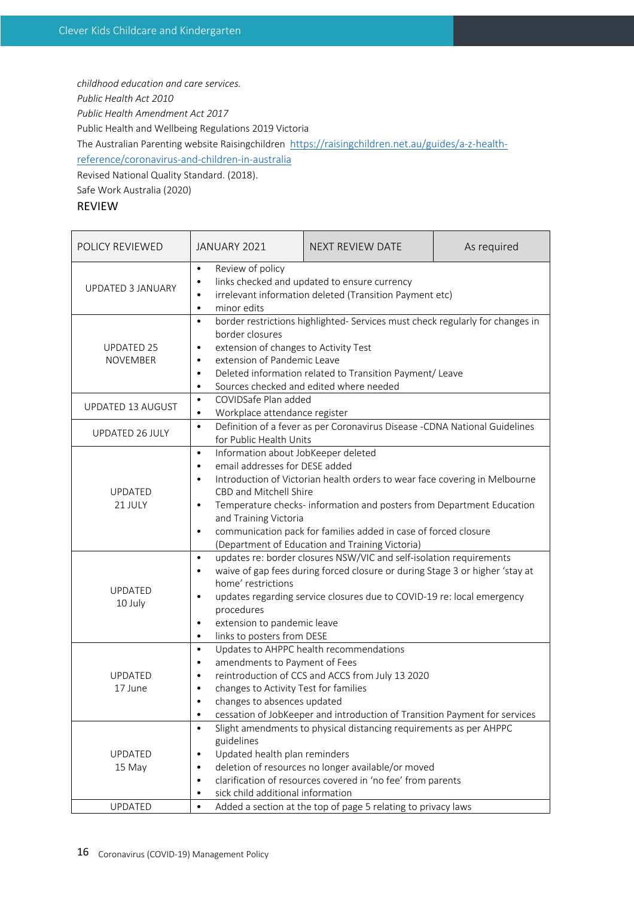*childhood education and care services.* 

*Public Health Act 2010*

*Public Health Amendment Act 2017*

Public Health and Wellbeing Regulations 2019 Victoria

The Australian Parenting website Raisingchildren https://raisingchildren.net.au/guides/a-z-health-

reference/coronavirus-and-children-in-australia

Revised National Quality Standard. (2018).

Safe Work Australia (2020)

# REVIEW

| POLICY REVIEWED                                                                                                                                                                                                                                                                                                                                                                                                                                            | JANUARY 2021                                                                                                                                                                                                                                                                                                                                                                                                                                                           | NEXT REVIEW DATE                                                                                                                                                          | As required |  |
|------------------------------------------------------------------------------------------------------------------------------------------------------------------------------------------------------------------------------------------------------------------------------------------------------------------------------------------------------------------------------------------------------------------------------------------------------------|------------------------------------------------------------------------------------------------------------------------------------------------------------------------------------------------------------------------------------------------------------------------------------------------------------------------------------------------------------------------------------------------------------------------------------------------------------------------|---------------------------------------------------------------------------------------------------------------------------------------------------------------------------|-------------|--|
| <b>UPDATED 3 JANUARY</b>                                                                                                                                                                                                                                                                                                                                                                                                                                   | Review of policy<br>$\bullet$<br>links checked and updated to ensure currency<br>$\bullet$<br>irrelevant information deleted (Transition Payment etc)<br>$\bullet$<br>minor edits<br>$\bullet$                                                                                                                                                                                                                                                                         |                                                                                                                                                                           |             |  |
| <b>UPDATED 25</b><br><b>NOVEMBER</b>                                                                                                                                                                                                                                                                                                                                                                                                                       | border restrictions highlighted- Services must check regularly for changes in<br>$\bullet$<br>border closures<br>extension of changes to Activity Test<br>$\bullet$<br>extension of Pandemic Leave<br>$\bullet$<br>Deleted information related to Transition Payment/ Leave<br>$\bullet$<br>Sources checked and edited where needed<br>$\bullet$                                                                                                                       |                                                                                                                                                                           |             |  |
| <b>UPDATED 13 AUGUST</b>                                                                                                                                                                                                                                                                                                                                                                                                                                   | COVIDSafe Plan added<br>$\bullet$<br>Workplace attendance register<br>$\bullet$                                                                                                                                                                                                                                                                                                                                                                                        |                                                                                                                                                                           |             |  |
| UPDATED 26 JULY                                                                                                                                                                                                                                                                                                                                                                                                                                            | $\bullet$<br>for Public Health Units                                                                                                                                                                                                                                                                                                                                                                                                                                   | Definition of a fever as per Coronavirus Disease -CDNA National Guidelines                                                                                                |             |  |
| <b>UPDATED</b><br>21 JULY                                                                                                                                                                                                                                                                                                                                                                                                                                  | Information about JobKeeper deleted<br>$\bullet$<br>email addresses for DESE added<br>$\bullet$<br>Introduction of Victorian health orders to wear face covering in Melbourne<br>$\bullet$<br>CBD and Mitchell Shire<br>Temperature checks- information and posters from Department Education<br>$\bullet$<br>and Training Victoria<br>communication pack for families added in case of forced closure<br>$\bullet$<br>(Department of Education and Training Victoria) |                                                                                                                                                                           |             |  |
| <b>UPDATED</b><br>10 July                                                                                                                                                                                                                                                                                                                                                                                                                                  | updates re: border closures NSW/VIC and self-isolation requirements<br>$\bullet$<br>waive of gap fees during forced closure or during Stage 3 or higher 'stay at<br>$\bullet$<br>home' restrictions<br>updates regarding service closures due to COVID-19 re: local emergency<br>$\bullet$<br>procedures<br>extension to pandemic leave<br>$\bullet$<br>links to posters from DESE<br>$\bullet$                                                                        |                                                                                                                                                                           |             |  |
| <b>UPDATED</b><br>17 June                                                                                                                                                                                                                                                                                                                                                                                                                                  | $\bullet$<br>amendments to Payment of Fees<br>$\bullet$<br>$\bullet$<br>changes to Activity Test for families<br>$\bullet$<br>changes to absences updated<br>$\bullet$<br>$\bullet$                                                                                                                                                                                                                                                                                    | Updates to AHPPC health recommendations<br>reintroduction of CCS and ACCS from July 13 2020<br>cessation of JobKeeper and introduction of Transition Payment for services |             |  |
| Slight amendments to physical distancing requirements as per AHPPC<br>$\bullet$<br>guidelines<br>Updated health plan reminders<br>UPDATED<br>$\bullet$<br>deletion of resources no longer available/or moved<br>15 May<br>$\bullet$<br>clarification of resources covered in 'no fee' from parents<br>$\bullet$<br>sick child additional information<br>$\bullet$<br>UPDATED<br>Added a section at the top of page 5 relating to privacy laws<br>$\bullet$ |                                                                                                                                                                                                                                                                                                                                                                                                                                                                        |                                                                                                                                                                           |             |  |